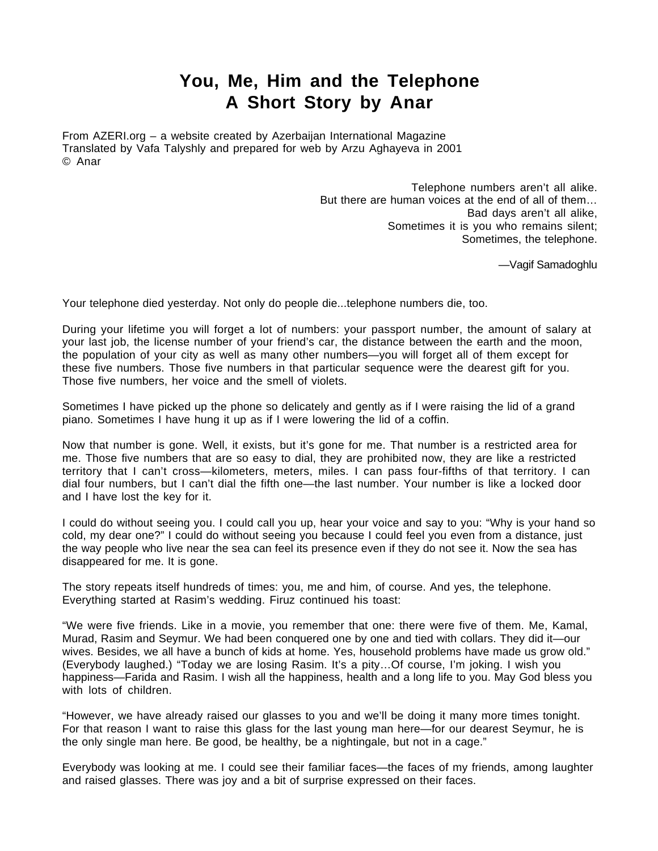## **You, Me, Him and the Telephone A Short Story by Anar**

From AZERI.org – a website created by Azerbaijan International Magazine Translated by Vafa Talyshly and prepared for web by Arzu Aghayeva in 2001 © Anar

> Telephone numbers aren't all alike. But there are human voices at the end of all of them… Bad days aren't all alike, Sometimes it is you who remains silent; Sometimes, the telephone.

> > —Vagif Samadoghlu

Your telephone died yesterday. Not only do people die...telephone numbers die, too.

During your lifetime you will forget a lot of numbers: your passport number, the amount of salary at your last job, the license number of your friend's car, the distance between the earth and the moon, the population of your city as well as many other numbers—you will forget all of them except for these five numbers. Those five numbers in that particular sequence were the dearest gift for you. Those five numbers, her voice and the smell of violets.

Sometimes I have picked up the phone so delicately and gently as if I were raising the lid of a grand piano. Sometimes I have hung it up as if I were lowering the lid of a coffin.

Now that number is gone. Well, it exists, but it's gone for me. That number is a restricted area for me. Those five numbers that are so easy to dial, they are prohibited now, they are like a restricted territory that I can't cross—kilometers, meters, miles. I can pass four-fifths of that territory. I can dial four numbers, but I can't dial the fifth one—the last number. Your number is like a locked door and I have lost the key for it.

I could do without seeing you. I could call you up, hear your voice and say to you: "Why is your hand so cold, my dear one?" I could do without seeing you because I could feel you even from a distance, just the way people who live near the sea can feel its presence even if they do not see it. Now the sea has disappeared for me. It is gone.

The story repeats itself hundreds of times: you, me and him, of course. And yes, the telephone. Everything started at Rasim's wedding. Firuz continued his toast:

"We were five friends. Like in a movie, you remember that one: there were five of them. Me, Kamal, Murad, Rasim and Seymur. We had been conquered one by one and tied with collars. They did it—our wives. Besides, we all have a bunch of kids at home. Yes, household problems have made us grow old." (Everybody laughed.) "Today we are losing Rasim. It's a pity…Of course, I'm joking. I wish you happiness—Farida and Rasim. I wish all the happiness, health and a long life to you. May God bless you with lots of children.

"However, we have already raised our glasses to you and we'll be doing it many more times tonight. For that reason I want to raise this glass for the last young man here—for our dearest Seymur, he is the only single man here. Be good, be healthy, be a nightingale, but not in a cage."

Everybody was looking at me. I could see their familiar faces—the faces of my friends, among laughter and raised glasses. There was joy and a bit of surprise expressed on their faces.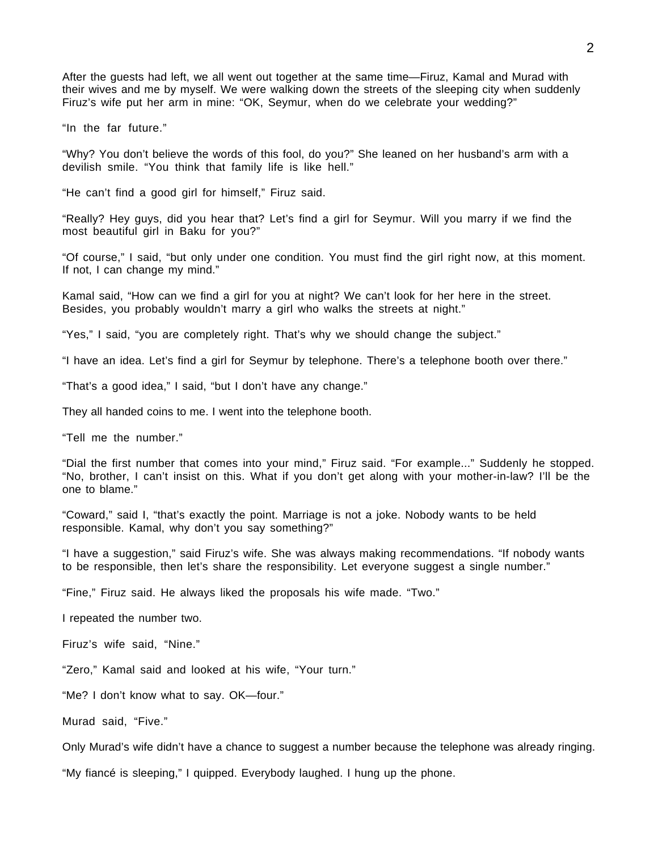After the guests had left, we all went out together at the same time—Firuz, Kamal and Murad with their wives and me by myself. We were walking down the streets of the sleeping city when suddenly Firuz's wife put her arm in mine: "OK, Seymur, when do we celebrate your wedding?"

"In the far future."

"Why? You don't believe the words of this fool, do you?" She leaned on her husband's arm with a devilish smile. "You think that family life is like hell."

"He can't find a good girl for himself," Firuz said.

"Really? Hey guys, did you hear that? Let's find a girl for Seymur. Will you marry if we find the most beautiful girl in Baku for you?"

"Of course," I said, "but only under one condition. You must find the girl right now, at this moment. If not, I can change my mind."

Kamal said, "How can we find a girl for you at night? We can't look for her here in the street. Besides, you probably wouldn't marry a girl who walks the streets at night."

"Yes," I said, "you are completely right. That's why we should change the subject."

"I have an idea. Let's find a girl for Seymur by telephone. There's a telephone booth over there."

"That's a good idea," I said, "but I don't have any change."

They all handed coins to me. I went into the telephone booth.

"Tell me the number."

"Dial the first number that comes into your mind," Firuz said. "For example..." Suddenly he stopped. "No, brother, I can't insist on this. What if you don't get along with your mother-in-law? I'll be the one to blame."

"Coward," said I, "that's exactly the point. Marriage is not a joke. Nobody wants to be held responsible. Kamal, why don't you say something?"

"I have a suggestion," said Firuz's wife. She was always making recommendations. "If nobody wants to be responsible, then let's share the responsibility. Let everyone suggest a single number."

"Fine," Firuz said. He always liked the proposals his wife made. "Two."

I repeated the number two.

Firuz's wife said, "Nine."

"Zero," Kamal said and looked at his wife, "Your turn."

"Me? I don't know what to say. OK—four."

Murad said, "Five."

Only Murad's wife didn't have a chance to suggest a number because the telephone was already ringing.

"My fiancé is sleeping," I quipped. Everybody laughed. I hung up the phone.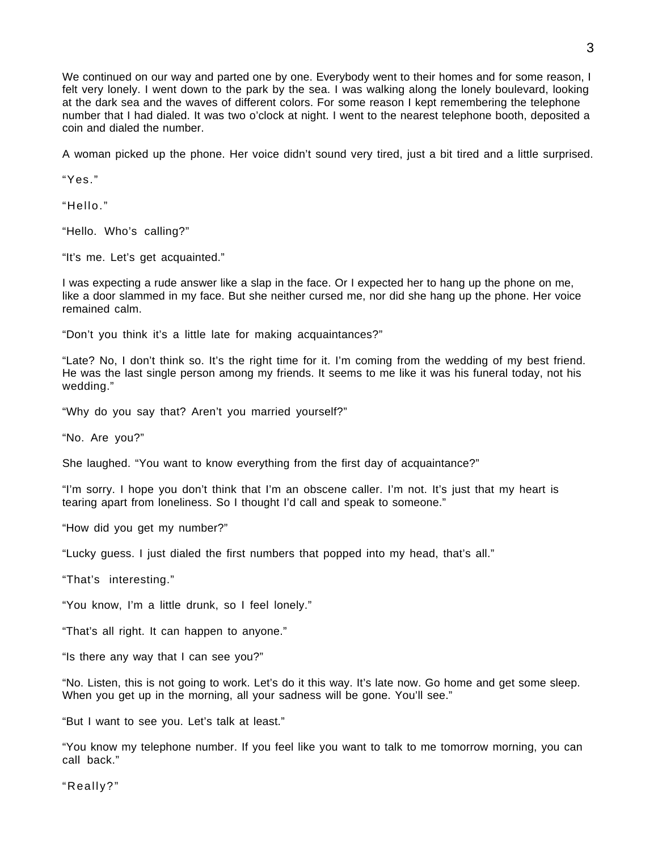We continued on our way and parted one by one. Everybody went to their homes and for some reason, I felt very lonely. I went down to the park by the sea. I was walking along the lonely boulevard, looking at the dark sea and the waves of different colors. For some reason I kept remembering the telephone number that I had dialed. It was two o'clock at night. I went to the nearest telephone booth, deposited a coin and dialed the number.

A woman picked up the phone. Her voice didn't sound very tired, just a bit tired and a little surprised.

"Yes."

"Hello."

"Hello. Who's calling?"

"It's me. Let's get acquainted."

I was expecting a rude answer like a slap in the face. Or I expected her to hang up the phone on me, like a door slammed in my face. But she neither cursed me, nor did she hang up the phone. Her voice remained calm.

"Don't you think it's a little late for making acquaintances?"

"Late? No, I don't think so. It's the right time for it. I'm coming from the wedding of my best friend. He was the last single person among my friends. It seems to me like it was his funeral today, not his wedding."

"Why do you say that? Aren't you married yourself?"

"No. Are you?"

She laughed. "You want to know everything from the first day of acquaintance?"

"I'm sorry. I hope you don't think that I'm an obscene caller. I'm not. It's just that my heart is tearing apart from loneliness. So I thought I'd call and speak to someone."

"How did you get my number?"

"Lucky guess. I just dialed the first numbers that popped into my head, that's all."

"That's interesting."

"You know, I'm a little drunk, so I feel lonely."

"That's all right. It can happen to anyone."

"Is there any way that I can see you?"

"No. Listen, this is not going to work. Let's do it this way. It's late now. Go home and get some sleep. When you get up in the morning, all your sadness will be gone. You'll see."

"But I want to see you. Let's talk at least."

"You know my telephone number. If you feel like you want to talk to me tomorrow morning, you can call back."

"Really?"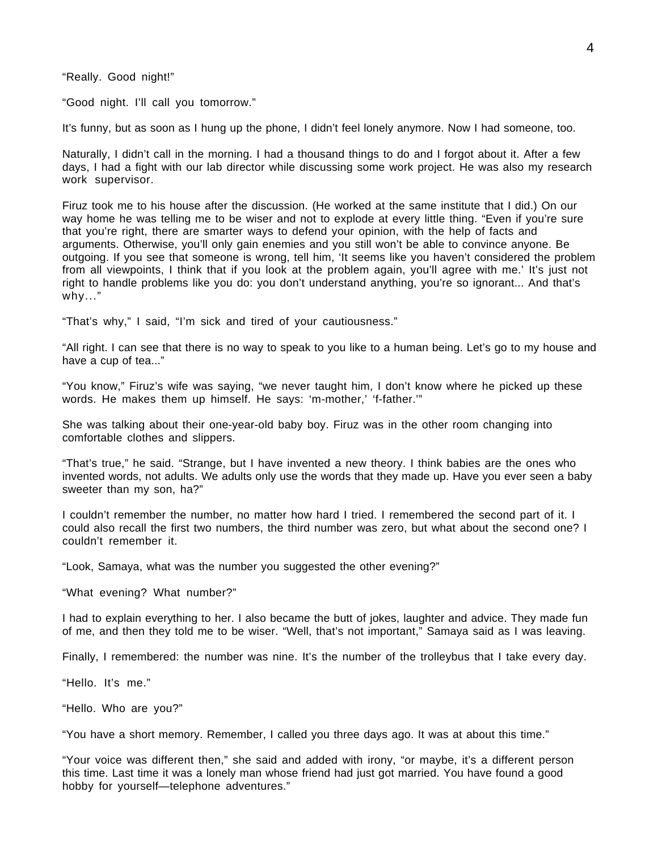"Really. Good night!"

"Good night. I'll call you tomorrow."

It's funny, but as soon as I hung up the phone, I didn't feel lonely anymore. Now I had someone, too.

Naturally, I didn't call in the morning. I had a thousand things to do and I forgot about it. After a few days, I had a fight with our lab director while discussing some work project. He was also my research work supervisor.

Firuz took me to his house after the discussion. (He worked at the same institute that I did.) On our way home he was telling me to be wiser and not to explode at every little thing. "Even if you're sure that you're right, there are smarter ways to defend your opinion, with the help of facts and arguments. Otherwise, you'll only gain enemies and you still won't be able to convince anyone. Be outgoing. If you see that someone is wrong, tell him, 'It seems like you haven't considered the problem from all viewpoints, I think that if you look at the problem again, you'll agree with me.' It's just not right to handle problems like you do: you don't understand anything, you're so ignorant... And that's why..."

"That's why," I said, "I'm sick and tired of your cautiousness."

"All right. I can see that there is no way to speak to you like to a human being. Let's go to my house and have a cup of tea..."

"You know," Firuz's wife was saying, "we never taught him, I don't know where he picked up these words. He makes them up himself. He says: 'm-mother,' 'f-father.'"

She was talking about their one-year-old baby boy. Firuz was in the other room changing into comfortable clothes and slippers.

"That's true," he said. "Strange, but I have invented a new theory. I think babies are the ones who invented words, not adults. We adults only use the words that they made up. Have you ever seen a baby sweeter than my son, ha?"

I couldn't remember the number, no matter how hard I tried. I remembered the second part of it. I could also recall the first two numbers, the third number was zero, but what about the second one? I couldn't remember it.

"Look, Samaya, what was the number you suggested the other evening?"

"What evening? What number?"

I had to explain everything to her. I also became the butt of jokes, laughter and advice. They made fun of me, and then they told me to be wiser. "Well, that's not important," Samaya said as I was leaving.

Finally, I remembered: the number was nine. It's the number of the trolleybus that I take every day.

"Hello. It's me."

"Hello. Who are you?"

"You have a short memory. Remember, I called you three days ago. It was at about this time."

"Your voice was different then," she said and added with irony, "or maybe, it's a different person this time. Last time it was a lonely man whose friend had just got married. You have found a good hobby for yourself—telephone adventures."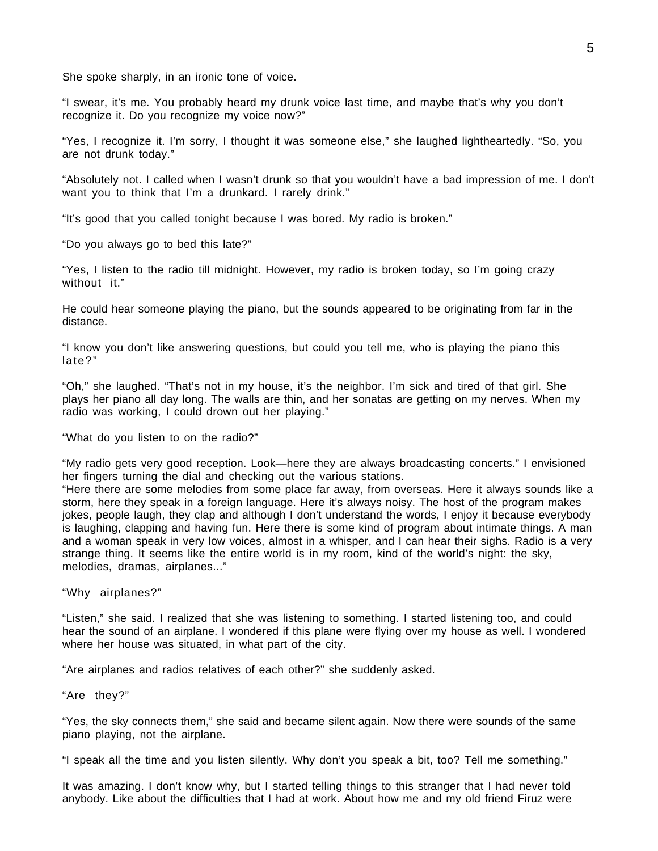She spoke sharply, in an ironic tone of voice.

"I swear, it's me. You probably heard my drunk voice last time, and maybe that's why you don't recognize it. Do you recognize my voice now?"

"Yes, I recognize it. I'm sorry, I thought it was someone else," she laughed lightheartedly. "So, you are not drunk today."

"Absolutely not. I called when I wasn't drunk so that you wouldn't have a bad impression of me. I don't want you to think that I'm a drunkard. I rarely drink."

"It's good that you called tonight because I was bored. My radio is broken."

"Do you always go to bed this late?"

"Yes, I listen to the radio till midnight. However, my radio is broken today, so I'm going crazy without it."

He could hear someone playing the piano, but the sounds appeared to be originating from far in the distance.

"I know you don't like answering questions, but could you tell me, who is playing the piano this late?"

"Oh," she laughed. "That's not in my house, it's the neighbor. I'm sick and tired of that girl. She plays her piano all day long. The walls are thin, and her sonatas are getting on my nerves. When my radio was working, I could drown out her playing."

"What do you listen to on the radio?"

"My radio gets very good reception. Look—here they are always broadcasting concerts." I envisioned her fingers turning the dial and checking out the various stations.

"Here there are some melodies from some place far away, from overseas. Here it always sounds like a storm, here they speak in a foreign language. Here it's always noisy. The host of the program makes jokes, people laugh, they clap and although I don't understand the words, I enjoy it because everybody is laughing, clapping and having fun. Here there is some kind of program about intimate things. A man and a woman speak in very low voices, almost in a whisper, and I can hear their sighs. Radio is a very strange thing. It seems like the entire world is in my room, kind of the world's night: the sky, melodies, dramas, airplanes..."

"Why airplanes?"

"Listen," she said. I realized that she was listening to something. I started listening too, and could hear the sound of an airplane. I wondered if this plane were flying over my house as well. I wondered where her house was situated, in what part of the city.

"Are airplanes and radios relatives of each other?" she suddenly asked.

"Are they?"

"Yes, the sky connects them," she said and became silent again. Now there were sounds of the same piano playing, not the airplane.

"I speak all the time and you listen silently. Why don't you speak a bit, too? Tell me something."

It was amazing. I don't know why, but I started telling things to this stranger that I had never told anybody. Like about the difficulties that I had at work. About how me and my old friend Firuz were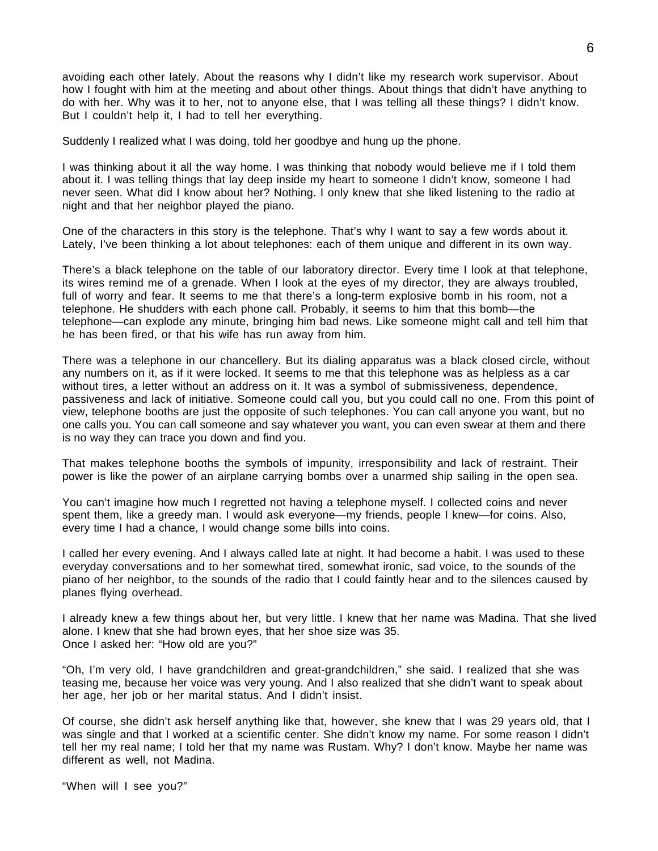avoiding each other lately. About the reasons why I didn't like my research work supervisor. About how I fought with him at the meeting and about other things. About things that didn't have anything to do with her. Why was it to her, not to anyone else, that I was telling all these things? I didn't know. But I couldn't help it, I had to tell her everything.

Suddenly I realized what I was doing, told her goodbye and hung up the phone.

I was thinking about it all the way home. I was thinking that nobody would believe me if I told them about it. I was telling things that lay deep inside my heart to someone I didn't know, someone I had never seen. What did I know about her? Nothing. I only knew that she liked listening to the radio at night and that her neighbor played the piano.

One of the characters in this story is the telephone. That's why I want to say a few words about it. Lately, I've been thinking a lot about telephones: each of them unique and different in its own way.

There's a black telephone on the table of our laboratory director. Every time I look at that telephone, its wires remind me of a grenade. When I look at the eyes of my director, they are always troubled, full of worry and fear. It seems to me that there's a long-term explosive bomb in his room, not a telephone. He shudders with each phone call. Probably, it seems to him that this bomb—the telephone—can explode any minute, bringing him bad news. Like someone might call and tell him that he has been fired, or that his wife has run away from him.

There was a telephone in our chancellery. But its dialing apparatus was a black closed circle, without any numbers on it, as if it were locked. It seems to me that this telephone was as helpless as a car without tires, a letter without an address on it. It was a symbol of submissiveness, dependence, passiveness and lack of initiative. Someone could call you, but you could call no one. From this point of view, telephone booths are just the opposite of such telephones. You can call anyone you want, but no one calls you. You can call someone and say whatever you want, you can even swear at them and there is no way they can trace you down and find you.

That makes telephone booths the symbols of impunity, irresponsibility and lack of restraint. Their power is like the power of an airplane carrying bombs over a unarmed ship sailing in the open sea.

You can't imagine how much I regretted not having a telephone myself. I collected coins and never spent them, like a greedy man. I would ask everyone—my friends, people I knew—for coins. Also, every time I had a chance, I would change some bills into coins.

I called her every evening. And I always called late at night. It had become a habit. I was used to these everyday conversations and to her somewhat tired, somewhat ironic, sad voice, to the sounds of the piano of her neighbor, to the sounds of the radio that I could faintly hear and to the silences caused by planes flying overhead.

I already knew a few things about her, but very little. I knew that her name was Madina. That she lived alone. I knew that she had brown eyes, that her shoe size was 35. Once I asked her: "How old are you?"

"Oh, I'm very old, I have grandchildren and great-grandchildren," she said. I realized that she was teasing me, because her voice was very young. And I also realized that she didn't want to speak about her age, her job or her marital status. And I didn't insist.

Of course, she didn't ask herself anything like that, however, she knew that I was 29 years old, that I was single and that I worked at a scientific center. She didn't know my name. For some reason I didn't tell her my real name; I told her that my name was Rustam. Why? I don't know. Maybe her name was different as well, not Madina.

"When will I see you?"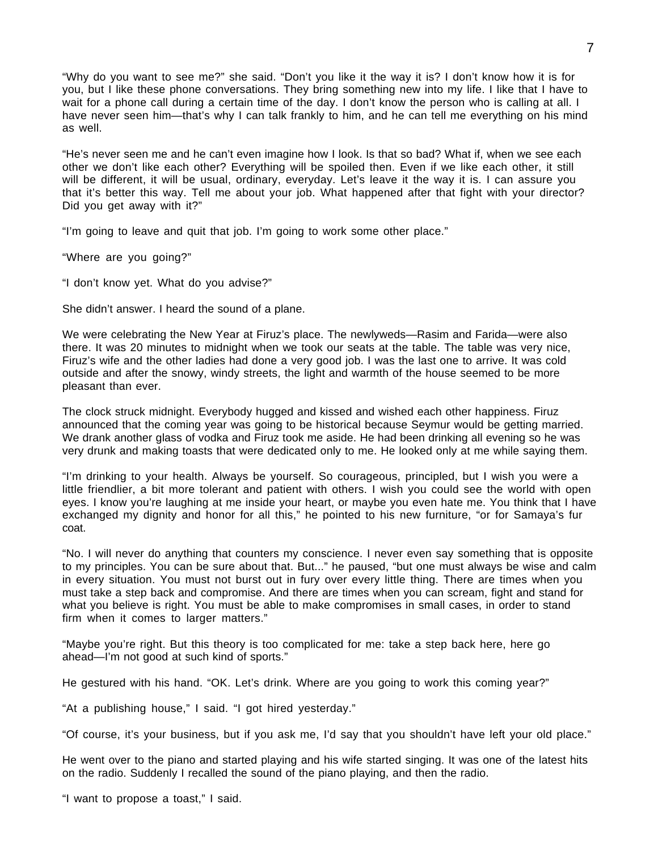"Why do you want to see me?" she said. "Don't you like it the way it is? I don't know how it is for you, but I like these phone conversations. They bring something new into my life. I like that I have to wait for a phone call during a certain time of the day. I don't know the person who is calling at all. I have never seen him—that's why I can talk frankly to him, and he can tell me everything on his mind as well.

"He's never seen me and he can't even imagine how I look. Is that so bad? What if, when we see each other we don't like each other? Everything will be spoiled then. Even if we like each other, it still will be different, it will be usual, ordinary, everyday. Let's leave it the way it is. I can assure you that it's better this way. Tell me about your job. What happened after that fight with your director? Did you get away with it?"

"I'm going to leave and quit that job. I'm going to work some other place."

"Where are you going?"

"I don't know yet. What do you advise?"

She didn't answer. I heard the sound of a plane.

We were celebrating the New Year at Firuz's place. The newlyweds—Rasim and Farida—were also there. It was 20 minutes to midnight when we took our seats at the table. The table was very nice, Firuz's wife and the other ladies had done a very good job. I was the last one to arrive. It was cold outside and after the snowy, windy streets, the light and warmth of the house seemed to be more pleasant than ever.

The clock struck midnight. Everybody hugged and kissed and wished each other happiness. Firuz announced that the coming year was going to be historical because Seymur would be getting married. We drank another glass of vodka and Firuz took me aside. He had been drinking all evening so he was very drunk and making toasts that were dedicated only to me. He looked only at me while saying them.

"I'm drinking to your health. Always be yourself. So courageous, principled, but I wish you were a little friendlier, a bit more tolerant and patient with others. I wish you could see the world with open eyes. I know you're laughing at me inside your heart, or maybe you even hate me. You think that I have exchanged my dignity and honor for all this," he pointed to his new furniture, "or for Samaya's fur coat.

"No. I will never do anything that counters my conscience. I never even say something that is opposite to my principles. You can be sure about that. But..." he paused, "but one must always be wise and calm in every situation. You must not burst out in fury over every little thing. There are times when you must take a step back and compromise. And there are times when you can scream, fight and stand for what you believe is right. You must be able to make compromises in small cases, in order to stand firm when it comes to larger matters."

"Maybe you're right. But this theory is too complicated for me: take a step back here, here go ahead—I'm not good at such kind of sports."

He gestured with his hand. "OK. Let's drink. Where are you going to work this coming year?"

"At a publishing house," I said. "I got hired yesterday."

"Of course, it's your business, but if you ask me, I'd say that you shouldn't have left your old place."

He went over to the piano and started playing and his wife started singing. It was one of the latest hits on the radio. Suddenly I recalled the sound of the piano playing, and then the radio.

"I want to propose a toast," I said.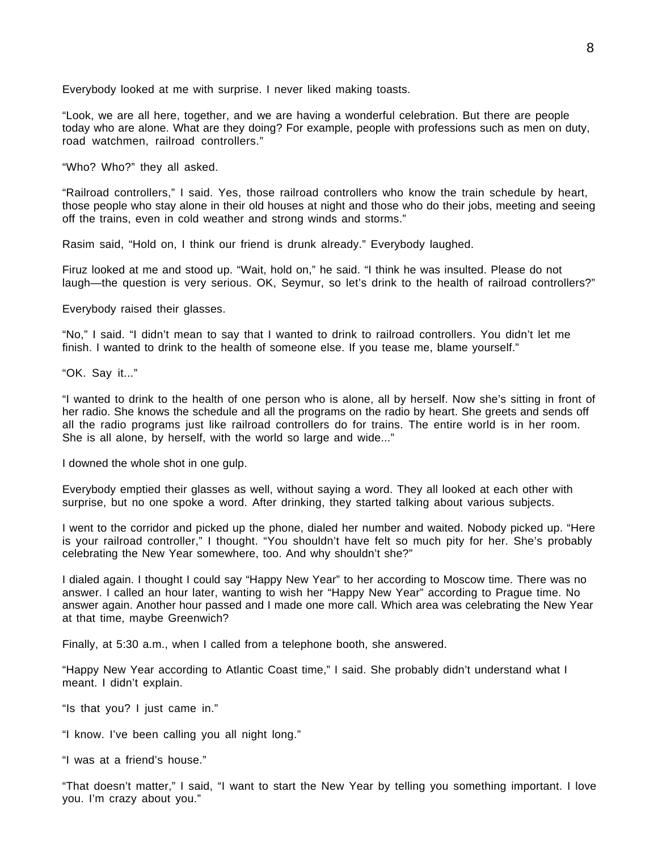Everybody looked at me with surprise. I never liked making toasts.

"Look, we are all here, together, and we are having a wonderful celebration. But there are people today who are alone. What are they doing? For example, people with professions such as men on duty, road watchmen, railroad controllers."

"Who? Who?" they all asked.

"Railroad controllers," I said. Yes, those railroad controllers who know the train schedule by heart, those people who stay alone in their old houses at night and those who do their jobs, meeting and seeing off the trains, even in cold weather and strong winds and storms."

Rasim said, "Hold on, I think our friend is drunk already." Everybody laughed.

Firuz looked at me and stood up. "Wait, hold on," he said. "I think he was insulted. Please do not laugh—the question is very serious. OK, Seymur, so let's drink to the health of railroad controllers?"

Everybody raised their glasses.

"No," I said. "I didn't mean to say that I wanted to drink to railroad controllers. You didn't let me finish. I wanted to drink to the health of someone else. If you tease me, blame yourself."

"OK. Say it..."

"I wanted to drink to the health of one person who is alone, all by herself. Now she's sitting in front of her radio. She knows the schedule and all the programs on the radio by heart. She greets and sends off all the radio programs just like railroad controllers do for trains. The entire world is in her room. She is all alone, by herself, with the world so large and wide..."

I downed the whole shot in one gulp.

Everybody emptied their glasses as well, without saying a word. They all looked at each other with surprise, but no one spoke a word. After drinking, they started talking about various subjects.

I went to the corridor and picked up the phone, dialed her number and waited. Nobody picked up. "Here is your railroad controller," I thought. "You shouldn't have felt so much pity for her. She's probably celebrating the New Year somewhere, too. And why shouldn't she?"

I dialed again. I thought I could say "Happy New Year" to her according to Moscow time. There was no answer. I called an hour later, wanting to wish her "Happy New Year" according to Prague time. No answer again. Another hour passed and I made one more call. Which area was celebrating the New Year at that time, maybe Greenwich?

Finally, at 5:30 a.m., when I called from a telephone booth, she answered.

"Happy New Year according to Atlantic Coast time," I said. She probably didn't understand what I meant. I didn't explain.

"Is that you? I just came in."

"I know. I've been calling you all night long."

"I was at a friend's house."

"That doesn't matter," I said, "I want to start the New Year by telling you something important. I love you. I'm crazy about you."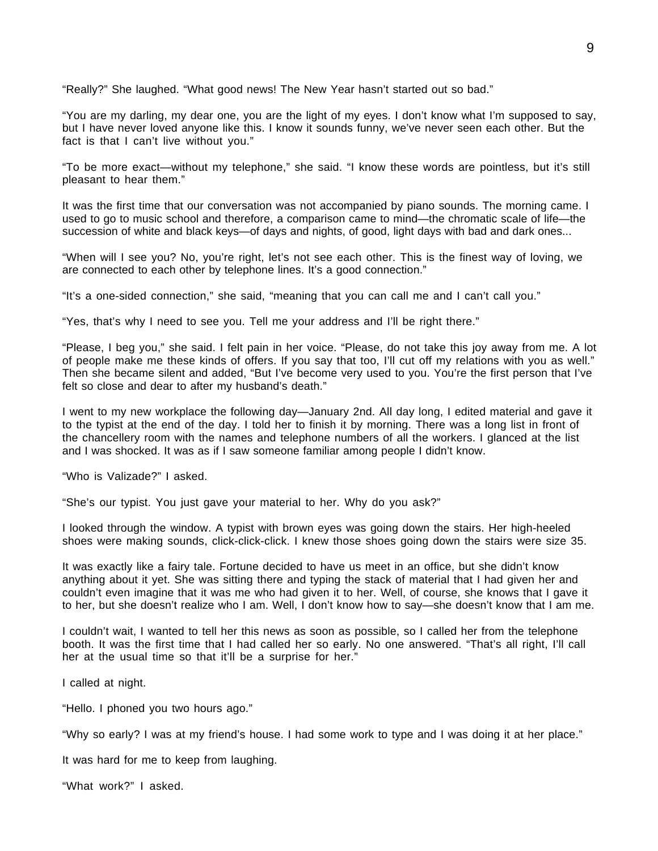"Really?" She laughed. "What good news! The New Year hasn't started out so bad."

"You are my darling, my dear one, you are the light of my eyes. I don't know what I'm supposed to say, but I have never loved anyone like this. I know it sounds funny, we've never seen each other. But the fact is that I can't live without you."

"To be more exact—without my telephone," she said. "I know these words are pointless, but it's still pleasant to hear them."

It was the first time that our conversation was not accompanied by piano sounds. The morning came. I used to go to music school and therefore, a comparison came to mind—the chromatic scale of life—the succession of white and black keys—of days and nights, of good, light days with bad and dark ones...

"When will I see you? No, you're right, let's not see each other. This is the finest way of loving, we are connected to each other by telephone lines. It's a good connection."

"It's a one-sided connection," she said, "meaning that you can call me and I can't call you."

"Yes, that's why I need to see you. Tell me your address and I'll be right there."

"Please, I beg you," she said. I felt pain in her voice. "Please, do not take this joy away from me. A lot of people make me these kinds of offers. If you say that too, I'll cut off my relations with you as well." Then she became silent and added, "But I've become very used to you. You're the first person that I've felt so close and dear to after my husband's death."

I went to my new workplace the following day—January 2nd. All day long, I edited material and gave it to the typist at the end of the day. I told her to finish it by morning. There was a long list in front of the chancellery room with the names and telephone numbers of all the workers. I glanced at the list and I was shocked. It was as if I saw someone familiar among people I didn't know.

"Who is Valizade?" I asked.

"She's our typist. You just gave your material to her. Why do you ask?"

I looked through the window. A typist with brown eyes was going down the stairs. Her high-heeled shoes were making sounds, click-click-click. I knew those shoes going down the stairs were size 35.

It was exactly like a fairy tale. Fortune decided to have us meet in an office, but she didn't know anything about it yet. She was sitting there and typing the stack of material that I had given her and couldn't even imagine that it was me who had given it to her. Well, of course, she knows that I gave it to her, but she doesn't realize who I am. Well, I don't know how to say—she doesn't know that I am me.

I couldn't wait, I wanted to tell her this news as soon as possible, so I called her from the telephone booth. It was the first time that I had called her so early. No one answered. "That's all right, I'll call her at the usual time so that it'll be a surprise for her."

I called at night.

"Hello. I phoned you two hours ago."

"Why so early? I was at my friend's house. I had some work to type and I was doing it at her place."

It was hard for me to keep from laughing.

"What work?" I asked.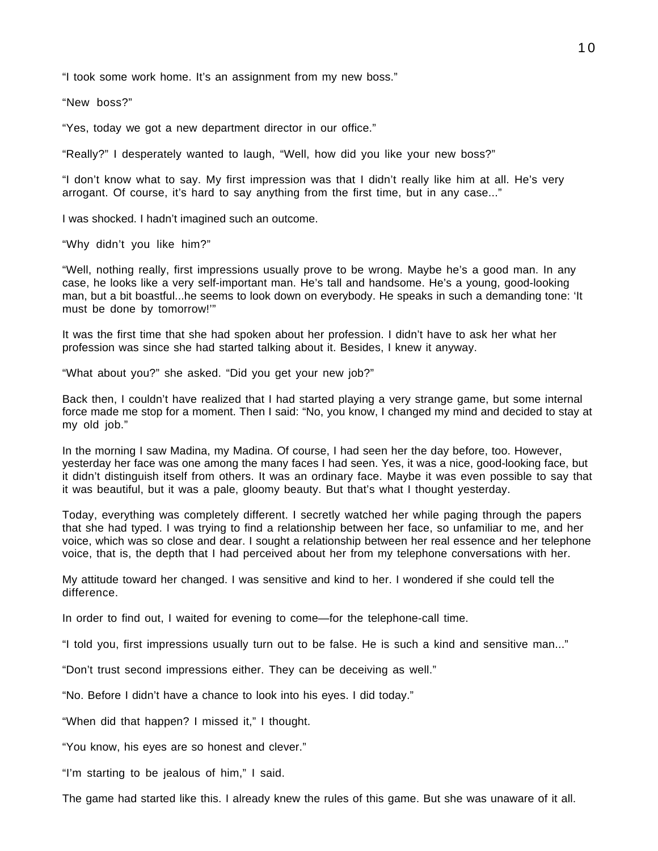"I took some work home. It's an assignment from my new boss."

"New boss?"

"Yes, today we got a new department director in our office."

"Really?" I desperately wanted to laugh, "Well, how did you like your new boss?"

"I don't know what to say. My first impression was that I didn't really like him at all. He's very arrogant. Of course, it's hard to say anything from the first time, but in any case..."

I was shocked. I hadn't imagined such an outcome.

"Why didn't you like him?"

"Well, nothing really, first impressions usually prove to be wrong. Maybe he's a good man. In any case, he looks like a very self-important man. He's tall and handsome. He's a young, good-looking man, but a bit boastful...he seems to look down on everybody. He speaks in such a demanding tone: 'It must be done by tomorrow!'"

It was the first time that she had spoken about her profession. I didn't have to ask her what her profession was since she had started talking about it. Besides, I knew it anyway.

"What about you?" she asked. "Did you get your new job?"

Back then, I couldn't have realized that I had started playing a very strange game, but some internal force made me stop for a moment. Then I said: "No, you know, I changed my mind and decided to stay at my old job."

In the morning I saw Madina, my Madina. Of course, I had seen her the day before, too. However, yesterday her face was one among the many faces I had seen. Yes, it was a nice, good-looking face, but it didn't distinguish itself from others. It was an ordinary face. Maybe it was even possible to say that it was beautiful, but it was a pale, gloomy beauty. But that's what I thought yesterday.

Today, everything was completely different. I secretly watched her while paging through the papers that she had typed. I was trying to find a relationship between her face, so unfamiliar to me, and her voice, which was so close and dear. I sought a relationship between her real essence and her telephone voice, that is, the depth that I had perceived about her from my telephone conversations with her.

My attitude toward her changed. I was sensitive and kind to her. I wondered if she could tell the difference.

In order to find out, I waited for evening to come—for the telephone-call time.

"I told you, first impressions usually turn out to be false. He is such a kind and sensitive man..."

"Don't trust second impressions either. They can be deceiving as well."

"No. Before I didn't have a chance to look into his eyes. I did today."

"When did that happen? I missed it," I thought.

"You know, his eyes are so honest and clever."

"I'm starting to be jealous of him," I said.

The game had started like this. I already knew the rules of this game. But she was unaware of it all.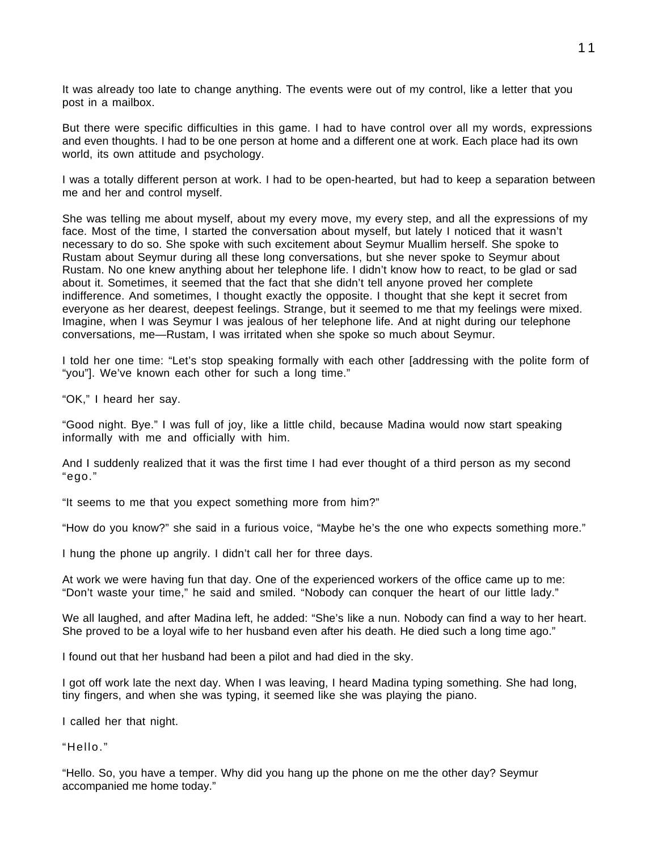It was already too late to change anything. The events were out of my control, like a letter that you post in a mailbox.

But there were specific difficulties in this game. I had to have control over all my words, expressions and even thoughts. I had to be one person at home and a different one at work. Each place had its own world, its own attitude and psychology.

I was a totally different person at work. I had to be open-hearted, but had to keep a separation between me and her and control myself.

She was telling me about myself, about my every move, my every step, and all the expressions of my face. Most of the time, I started the conversation about myself, but lately I noticed that it wasn't necessary to do so. She spoke with such excitement about Seymur Muallim herself. She spoke to Rustam about Seymur during all these long conversations, but she never spoke to Seymur about Rustam. No one knew anything about her telephone life. I didn't know how to react, to be glad or sad about it. Sometimes, it seemed that the fact that she didn't tell anyone proved her complete indifference. And sometimes, I thought exactly the opposite. I thought that she kept it secret from everyone as her dearest, deepest feelings. Strange, but it seemed to me that my feelings were mixed. Imagine, when I was Seymur I was jealous of her telephone life. And at night during our telephone conversations, me—Rustam, I was irritated when she spoke so much about Seymur.

I told her one time: "Let's stop speaking formally with each other [addressing with the polite form of "you"]. We've known each other for such a long time."

"OK," I heard her say.

"Good night. Bye." I was full of joy, like a little child, because Madina would now start speaking informally with me and officially with him.

And I suddenly realized that it was the first time I had ever thought of a third person as my second "ego."

"It seems to me that you expect something more from him?"

"How do you know?" she said in a furious voice, "Maybe he's the one who expects something more."

I hung the phone up angrily. I didn't call her for three days.

At work we were having fun that day. One of the experienced workers of the office came up to me: "Don't waste your time," he said and smiled. "Nobody can conquer the heart of our little lady."

We all laughed, and after Madina left, he added: "She's like a nun. Nobody can find a way to her heart. She proved to be a loyal wife to her husband even after his death. He died such a long time ago."

I found out that her husband had been a pilot and had died in the sky.

I got off work late the next day. When I was leaving, I heard Madina typing something. She had long, tiny fingers, and when she was typing, it seemed like she was playing the piano.

I called her that night.

"Hello."

"Hello. So, you have a temper. Why did you hang up the phone on me the other day? Seymur accompanied me home today."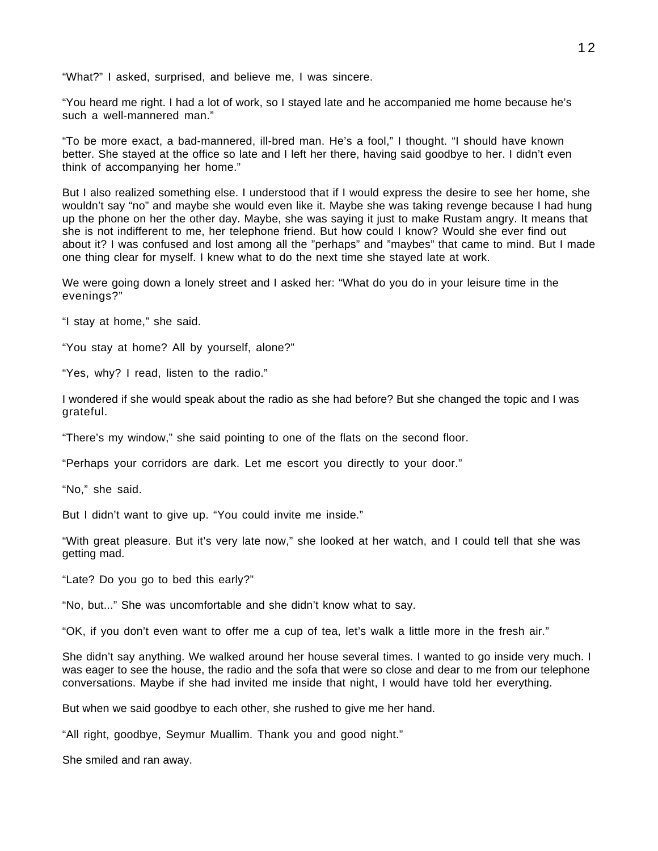"What?" I asked, surprised, and believe me, I was sincere.

"You heard me right. I had a lot of work, so I stayed late and he accompanied me home because he's such a well-mannered man."

"To be more exact, a bad-mannered, ill-bred man. He's a fool," I thought. "I should have known better. She stayed at the office so late and I left her there, having said goodbye to her. I didn't even think of accompanying her home."

But I also realized something else. I understood that if I would express the desire to see her home, she wouldn't say "no" and maybe she would even like it. Maybe she was taking revenge because I had hung up the phone on her the other day. Maybe, she was saying it just to make Rustam angry. It means that she is not indifferent to me, her telephone friend. But how could I know? Would she ever find out about it? I was confused and lost among all the "perhaps" and "maybes" that came to mind. But I made one thing clear for myself. I knew what to do the next time she stayed late at work.

We were going down a lonely street and I asked her: "What do you do in your leisure time in the evenings?"

"I stay at home," she said.

"You stay at home? All by yourself, alone?"

"Yes, why? I read, listen to the radio."

I wondered if she would speak about the radio as she had before? But she changed the topic and I was grateful.

"There's my window," she said pointing to one of the flats on the second floor.

"Perhaps your corridors are dark. Let me escort you directly to your door."

"No," she said.

But I didn't want to give up. "You could invite me inside."

"With great pleasure. But it's very late now," she looked at her watch, and I could tell that she was getting mad.

"Late? Do you go to bed this early?"

"No, but..." She was uncomfortable and she didn't know what to say.

"OK, if you don't even want to offer me a cup of tea, let's walk a little more in the fresh air."

She didn't say anything. We walked around her house several times. I wanted to go inside very much. I was eager to see the house, the radio and the sofa that were so close and dear to me from our telephone conversations. Maybe if she had invited me inside that night, I would have told her everything.

But when we said goodbye to each other, she rushed to give me her hand.

"All right, goodbye, Seymur Muallim. Thank you and good night."

She smiled and ran away.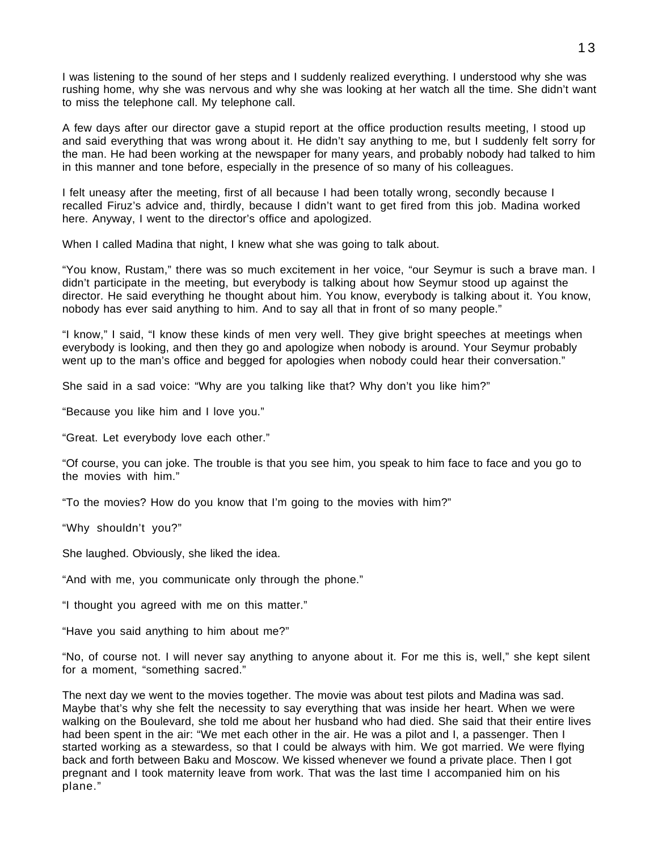I was listening to the sound of her steps and I suddenly realized everything. I understood why she was rushing home, why she was nervous and why she was looking at her watch all the time. She didn't want to miss the telephone call. My telephone call.

A few days after our director gave a stupid report at the office production results meeting, I stood up and said everything that was wrong about it. He didn't say anything to me, but I suddenly felt sorry for the man. He had been working at the newspaper for many years, and probably nobody had talked to him in this manner and tone before, especially in the presence of so many of his colleagues.

I felt uneasy after the meeting, first of all because I had been totally wrong, secondly because I recalled Firuz's advice and, thirdly, because I didn't want to get fired from this job. Madina worked here. Anyway, I went to the director's office and apologized.

When I called Madina that night, I knew what she was going to talk about.

"You know, Rustam," there was so much excitement in her voice, "our Seymur is such a brave man. I didn't participate in the meeting, but everybody is talking about how Seymur stood up against the director. He said everything he thought about him. You know, everybody is talking about it. You know, nobody has ever said anything to him. And to say all that in front of so many people."

"I know," I said, "I know these kinds of men very well. They give bright speeches at meetings when everybody is looking, and then they go and apologize when nobody is around. Your Seymur probably went up to the man's office and begged for apologies when nobody could hear their conversation."

She said in a sad voice: "Why are you talking like that? Why don't you like him?"

"Because you like him and I love you."

"Great. Let everybody love each other."

"Of course, you can joke. The trouble is that you see him, you speak to him face to face and you go to the movies with him."

"To the movies? How do you know that I'm going to the movies with him?"

"Why shouldn't you?"

She laughed. Obviously, she liked the idea.

"And with me, you communicate only through the phone."

"I thought you agreed with me on this matter."

"Have you said anything to him about me?"

"No, of course not. I will never say anything to anyone about it. For me this is, well," she kept silent for a moment, "something sacred."

The next day we went to the movies together. The movie was about test pilots and Madina was sad. Maybe that's why she felt the necessity to say everything that was inside her heart. When we were walking on the Boulevard, she told me about her husband who had died. She said that their entire lives had been spent in the air: "We met each other in the air. He was a pilot and I, a passenger. Then I started working as a stewardess, so that I could be always with him. We got married. We were flying back and forth between Baku and Moscow. We kissed whenever we found a private place. Then I got pregnant and I took maternity leave from work. That was the last time I accompanied him on his plane."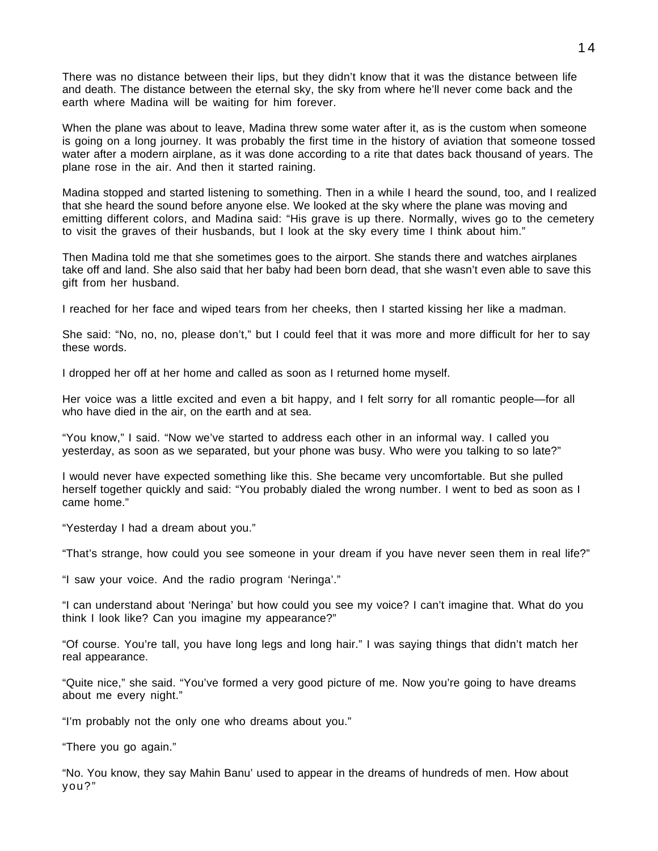There was no distance between their lips, but they didn't know that it was the distance between life and death. The distance between the eternal sky, the sky from where he'll never come back and the earth where Madina will be waiting for him forever.

When the plane was about to leave, Madina threw some water after it, as is the custom when someone is going on a long journey. It was probably the first time in the history of aviation that someone tossed water after a modern airplane, as it was done according to a rite that dates back thousand of years. The plane rose in the air. And then it started raining.

Madina stopped and started listening to something. Then in a while I heard the sound, too, and I realized that she heard the sound before anyone else. We looked at the sky where the plane was moving and emitting different colors, and Madina said: "His grave is up there. Normally, wives go to the cemetery to visit the graves of their husbands, but I look at the sky every time I think about him."

Then Madina told me that she sometimes goes to the airport. She stands there and watches airplanes take off and land. She also said that her baby had been born dead, that she wasn't even able to save this gift from her husband.

I reached for her face and wiped tears from her cheeks, then I started kissing her like a madman.

She said: "No, no, no, please don't," but I could feel that it was more and more difficult for her to say these words.

I dropped her off at her home and called as soon as I returned home myself.

Her voice was a little excited and even a bit happy, and I felt sorry for all romantic people—for all who have died in the air, on the earth and at sea.

"You know," I said. "Now we've started to address each other in an informal way. I called you yesterday, as soon as we separated, but your phone was busy. Who were you talking to so late?"

I would never have expected something like this. She became very uncomfortable. But she pulled herself together quickly and said: "You probably dialed the wrong number. I went to bed as soon as I came home."

"Yesterday I had a dream about you."

"That's strange, how could you see someone in your dream if you have never seen them in real life?"

"I saw your voice. And the radio program 'Neringa'."

"I can understand about 'Neringa' but how could you see my voice? I can't imagine that. What do you think I look like? Can you imagine my appearance?"

"Of course. You're tall, you have long legs and long hair." I was saying things that didn't match her real appearance.

"Quite nice," she said. "You've formed a very good picture of me. Now you're going to have dreams about me every night."

"I'm probably not the only one who dreams about you."

"There you go again."

"No. You know, they say Mahin Banu' used to appear in the dreams of hundreds of men. How about you?"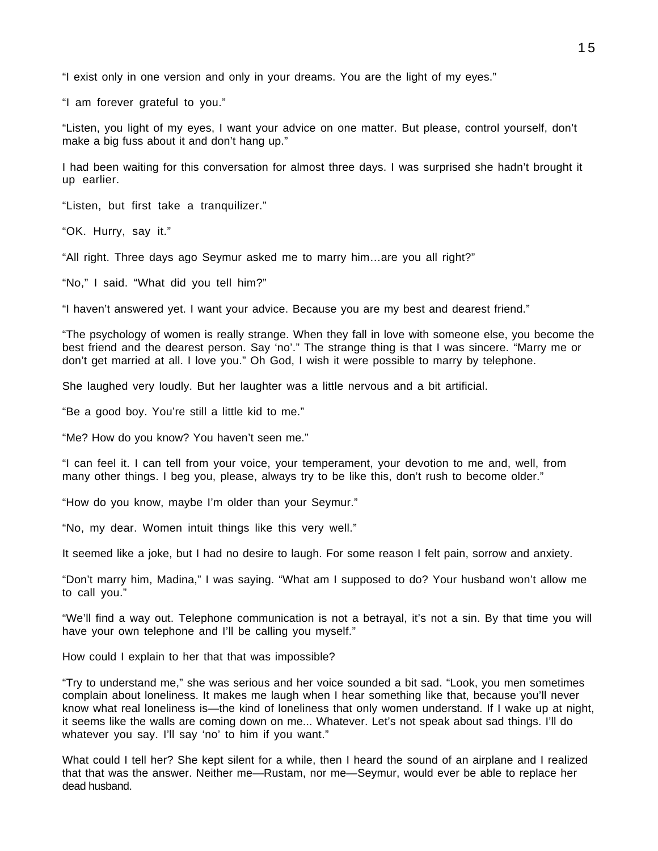"I exist only in one version and only in your dreams. You are the light of my eyes."

"I am forever grateful to you."

"Listen, you light of my eyes, I want your advice on one matter. But please, control yourself, don't make a big fuss about it and don't hang up."

I had been waiting for this conversation for almost three days. I was surprised she hadn't brought it up earlier.

"Listen, but first take a tranquilizer."

"OK. Hurry, say it."

"All right. Three days ago Seymur asked me to marry him…are you all right?"

"No," I said. "What did you tell him?"

"I haven't answered yet. I want your advice. Because you are my best and dearest friend."

"The psychology of women is really strange. When they fall in love with someone else, you become the best friend and the dearest person. Say 'no'." The strange thing is that I was sincere. "Marry me or don't get married at all. I love you." Oh God, I wish it were possible to marry by telephone.

She laughed very loudly. But her laughter was a little nervous and a bit artificial.

"Be a good boy. You're still a little kid to me."

"Me? How do you know? You haven't seen me."

"I can feel it. I can tell from your voice, your temperament, your devotion to me and, well, from many other things. I beg you, please, always try to be like this, don't rush to become older."

"How do you know, maybe I'm older than your Seymur."

"No, my dear. Women intuit things like this very well."

It seemed like a joke, but I had no desire to laugh. For some reason I felt pain, sorrow and anxiety.

"Don't marry him, Madina," I was saying. "What am I supposed to do? Your husband won't allow me to call you."

"We'll find a way out. Telephone communication is not a betrayal, it's not a sin. By that time you will have your own telephone and I'll be calling you myself."

How could I explain to her that that was impossible?

"Try to understand me," she was serious and her voice sounded a bit sad. "Look, you men sometimes complain about loneliness. It makes me laugh when I hear something like that, because you'll never know what real loneliness is—the kind of loneliness that only women understand. If I wake up at night, it seems like the walls are coming down on me... Whatever. Let's not speak about sad things. I'll do whatever you say. I'll say 'no' to him if you want."

What could I tell her? She kept silent for a while, then I heard the sound of an airplane and I realized that that was the answer. Neither me—Rustam, nor me—Seymur, would ever be able to replace her dead husband.